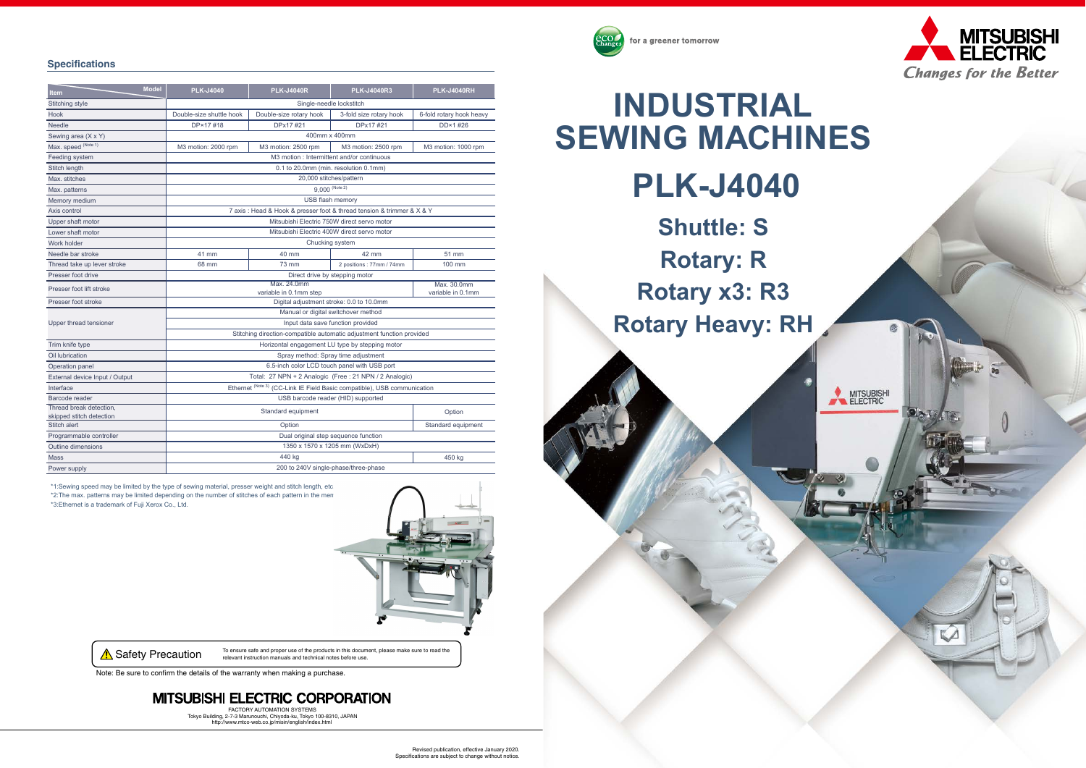





#### **Specifications**

\*1:Sewing speed may be limited by the type of sewing material, presser weight and stitch length, etc. \*2:The max. patterns may be limited depending on the number of stitches of each pattern in the men \*3:Ethernet is a trademark of Fuji Xerox Co., Ltd.



**A Safety Precaution** To ensure safe and proper use of the products in this document, please make sure to read the relevant instruction manuals and technical notes before use.

Note: Be sure to confirm the details of the warranty when making a purchase.

### **MITSUBISHI ELECTRIC CORPORATION**

Revised publication, effective January 2020.Specifications are subject to change without notice.

FACTORY AUTOMATION SYSTEMSTokyo Building, 2-7-3 Marunouchi, Chiyoda-ku, Tokyo 100-8310, JAPAN http://www.mtco-web.co.jp/misin/english/index.html

| <b>Model</b><br><b>Item</b>    | <b>PLK-J4040</b>                                                         | <b>PLK-J4040R</b>       | <b>PLK-J4040R3</b>       | <b>PLK-J4040RH</b>               |
|--------------------------------|--------------------------------------------------------------------------|-------------------------|--------------------------|----------------------------------|
| <b>Stitching style</b>         | Single-needle lockstitch                                                 |                         |                          |                                  |
| Hook                           | Double-size shuttle hook                                                 | Double-size rotary hook | 3-fold size rotary hook  | 6-fold rotary hook heavy         |
| <b>Needle</b>                  | DP×17#18                                                                 | DPx17 #21               | DPx17#21                 | DD×1#26                          |
| Sewing area (X x Y)            | 400mm x 400mm                                                            |                         |                          |                                  |
| Max. speed (Note 1)            | M3 motion: 2000 rpm                                                      | M3 motion: 2500 rpm     | M3 motion: 2500 rpm      | M3 motion: 1000 rpm              |
| Feeding system                 | M3 motion : Intermittent and/or continuous                               |                         |                          |                                  |
| Stitch length                  | 0.1 to 20.0mm (min. resolution 0.1mm)                                    |                         |                          |                                  |
| Max. stitches                  | 20,000 stitches/pattern                                                  |                         |                          |                                  |
| Max. patterns                  | $9,000$ (Note 2)                                                         |                         |                          |                                  |
| Memory medium                  | USB flash memory                                                         |                         |                          |                                  |
| Axis control                   | 7 axis: Head & Hook & presser foot & thread tension & trimmer & X & Y    |                         |                          |                                  |
| Upper shaft motor              | Mitsubishi Electric 750W direct servo motor                              |                         |                          |                                  |
| Lower shaft motor              | Mitsubishi Electric 400W direct servo motor                              |                         |                          |                                  |
| Work holder                    | Chucking system                                                          |                         |                          |                                  |
| Needle bar stroke              | 41 mm                                                                    | 40 mm                   | 42 mm                    | 51 mm                            |
| Thread take up lever stroke    | 68 mm                                                                    | <b>73 mm</b>            | 2 positions: 77mm / 74mm | 100 mm                           |
| Presser foot drive             | Direct drive by stepping motor                                           |                         |                          |                                  |
| Presser foot lift stroke       | Max. 24.0mm<br>variable in 0.1mm step                                    |                         |                          | Max. 30.0mm<br>variable in 0.1mm |
| Presser foot stroke            | Digital adjustment stroke: 0.0 to 10.0mm                                 |                         |                          |                                  |
| Upper thread tensioner         | Manual or digital switchover method                                      |                         |                          |                                  |
|                                | Input data save function provided                                        |                         |                          |                                  |
|                                | Stitching direction-compatible automatic adjustment function provided    |                         |                          |                                  |
| Trim knife type                | Horizontal engagement LU type by stepping motor                          |                         |                          |                                  |
| Oil lubrication                | Spray method: Spray time adjustment                                      |                         |                          |                                  |
| Operation panel                | 6.5-inch color LCD touch panel with USB port                             |                         |                          |                                  |
| External device Input / Output | Total: 27 NPN + 2 Analogic (Free : 21 NPN / 2 Analogic)                  |                         |                          |                                  |
| Interface                      | Ethernet (Note 3) (CC-Link IE Field Basic compatible), USB communication |                         |                          |                                  |
| Barcode reader                 | USB barcode reader (HID) supported                                       |                         |                          |                                  |
| Thread break detection.        | Standard equipment<br>Option                                             |                         |                          |                                  |
| skipped stitch detection       |                                                                          |                         |                          |                                  |
| Stitch alert                   | Option<br>Standard equipment                                             |                         |                          |                                  |
| Programmable controller        | Dual original step sequence function                                     |                         |                          |                                  |
| <b>Outline dimensions</b>      | 1350 x 1570 x 1205 mm (WxDxH)                                            |                         |                          |                                  |
| <b>Mass</b>                    | 440 kg<br>450 kg                                                         |                         |                          |                                  |
| Power supply                   | 200 to 240V single-phase/three-phase                                     |                         |                          |                                  |